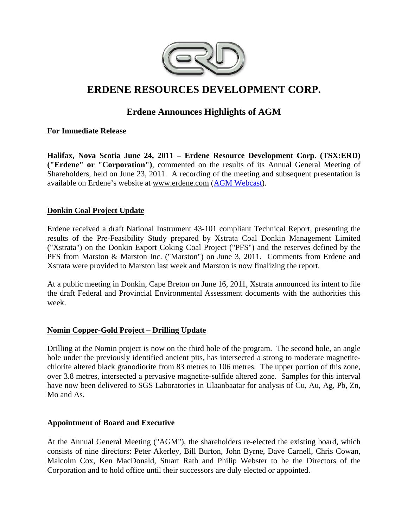

# **ERDENE RESOURCES DEVELOPMENT CORP.**

## **Erdene Announces Highlights of AGM**

**For Immediate Release** 

**Halifax, Nova Scotia June 24, 2011 – Erdene Resource Development Corp. (TSX:ERD) ("Erdene" or "Corporation")**, commented on the results of its Annual General Meeting of Shareholders, held on June 23, 2011. A recording of the meeting and subsequent presentation is available on Erdene's website at www.erdene.com (AGM Webcast).

## **Donkin Coal Project Update**

Erdene received a draft National Instrument 43-101 compliant Technical Report, presenting the results of the Pre-Feasibility Study prepared by Xstrata Coal Donkin Management Limited ("Xstrata") on the Donkin Export Coking Coal Project ("PFS") and the reserves defined by the PFS from Marston & Marston Inc. ("Marston") on June 3, 2011. Comments from Erdene and Xstrata were provided to Marston last week and Marston is now finalizing the report.

At a public meeting in Donkin, Cape Breton on June 16, 2011, Xstrata announced its intent to file the draft Federal and Provincial Environmental Assessment documents with the authorities this week.

#### **Nomin Copper-Gold Project – Drilling Update**

Drilling at the Nomin project is now on the third hole of the program. The second hole, an angle hole under the previously identified ancient pits, has intersected a strong to moderate magnetitechlorite altered black granodiorite from 83 metres to 106 metres. The upper portion of this zone, over 3.8 metres, intersected a pervasive magnetite-sulfide altered zone. Samples for this interval have now been delivered to SGS Laboratories in Ulaanbaatar for analysis of Cu, Au, Ag, Pb, Zn, Mo and As.

#### **Appointment of Board and Executive**

At the Annual General Meeting ("AGM"), the shareholders re-elected the existing board, which consists of nine directors: Peter Akerley, Bill Burton, John Byrne, Dave Carnell, Chris Cowan, Malcolm Cox, Ken MacDonald, Stuart Rath and Philip Webster to be the Directors of the Corporation and to hold office until their successors are duly elected or appointed.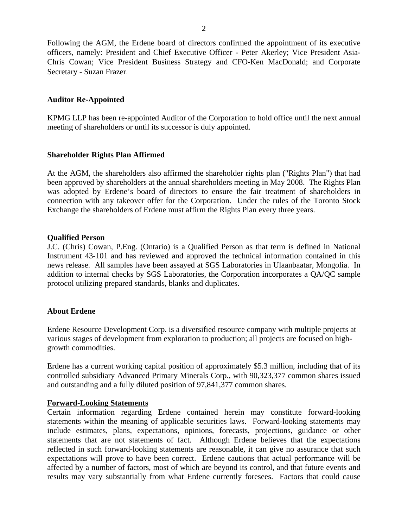Following the AGM, the Erdene board of directors confirmed the appointment of its executive officers, namely: President and Chief Executive Officer - Peter Akerley; Vice President Asia-Chris Cowan; Vice President Business Strategy and CFO-Ken MacDonald; and Corporate Secretary - Suzan Frazer.

#### **Auditor Re-Appointed**

KPMG LLP has been re-appointed Auditor of the Corporation to hold office until the next annual meeting of shareholders or until its successor is duly appointed.

#### **Shareholder Rights Plan Affirmed**

At the AGM, the shareholders also affirmed the shareholder rights plan ("Rights Plan") that had been approved by shareholders at the annual shareholders meeting in May 2008. The Rights Plan was adopted by Erdene's board of directors to ensure the fair treatment of shareholders in connection with any takeover offer for the Corporation. Under the rules of the Toronto Stock Exchange the shareholders of Erdene must affirm the Rights Plan every three years.

#### **Qualified Person**

J.C. (Chris) Cowan, P.Eng. (Ontario) is a Qualified Person as that term is defined in National Instrument 43-101 and has reviewed and approved the technical information contained in this news release. All samples have been assayed at SGS Laboratories in Ulaanbaatar, Mongolia. In addition to internal checks by SGS Laboratories, the Corporation incorporates a QA/QC sample protocol utilizing prepared standards, blanks and duplicates.

## **About Erdene**

Erdene Resource Development Corp. is a diversified resource company with multiple projects at various stages of development from exploration to production; all projects are focused on highgrowth commodities.

Erdene has a current working capital position of approximately \$5.3 million, including that of its controlled subsidiary Advanced Primary Minerals Corp., with 90,323,377 common shares issued and outstanding and a fully diluted position of 97,841,377 common shares.

#### **Forward-Looking Statements**

Certain information regarding Erdene contained herein may constitute forward-looking statements within the meaning of applicable securities laws. Forward-looking statements may include estimates, plans, expectations, opinions, forecasts, projections, guidance or other statements that are not statements of fact. Although Erdene believes that the expectations reflected in such forward-looking statements are reasonable, it can give no assurance that such expectations will prove to have been correct. Erdene cautions that actual performance will be affected by a number of factors, most of which are beyond its control, and that future events and results may vary substantially from what Erdene currently foresees. Factors that could cause